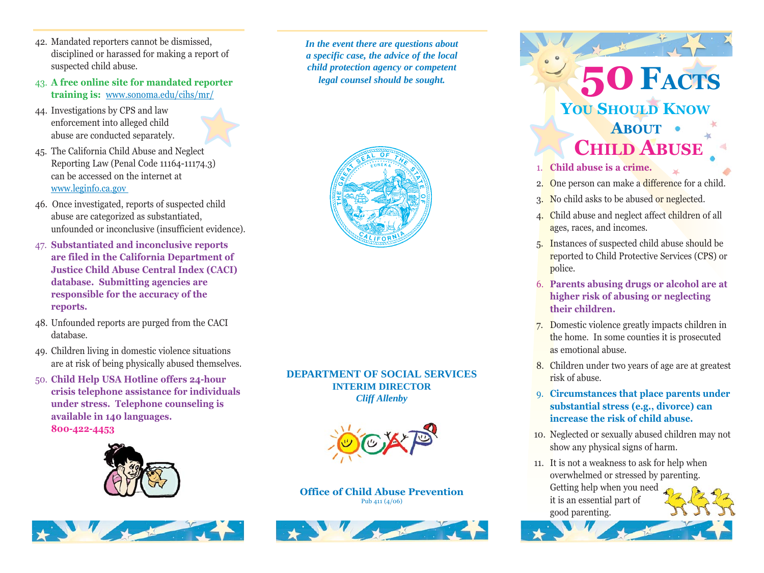- 42. Mandated reporters cannot be dismissed, disciplined or harassed for making a report of suspected child abuse.
- 43. **A free online site for mandated reporter training is:** <www.sonoma.edu/cihs/mr/>
- 44. Investigations by CPS and law enforcement into alleged child abuse are conducted separately.
- 45. The California Child Abuse and Neglect Reporting Law (Penal Code 11164-11174.3) can be accessed on the internet at <www.leginfo.ca.gov>
- 46. Once investigated, reports of suspected child abuse are categorized as substantiated, unfounded or inconclusive (insufficient evidence).
- 47. **Substantiated and inconclusive reports are filed in the California Department of Justice Child Abuse Central Index (CACI) database. Submitting agencies are responsible for the accuracy of the reports.**
- 48. Unfounded reports are purged from the CACI database.
- 49. Children living in domestic violence situations are at risk of being physically abused themselves.
- 50. **Child Help USA Hotline offers 24-hour crisis telephone assistance for individuals under stress. Telephone counseling is available in 140 languages. 800-422-4453**





*In the event there are questions about a specific case, the advice of the local child protection agency or competent legal counsel should be sought.*



## **DEPARTMENT OF SOCIAL SERVICES INTERIM DIRECTOR** *Cliff Allenby*



## **Office of Child Abuse Prevention** Pub 411 (4/06)



**50FACTS YOU SHOULD KNOW ABOUT CHILD ABUSE**

- 1. **Child abuse is a crime.**
- 2. One person can make a difference for a child.
- 3. No child asks to be abused or neglected.
- 4. Child abuse and neglect affect children of all ages, races, and incomes.
- 5. Instances of suspected child abuse should be reported to Child Protective Services (CPS) or police.
- 6. **Parents abusing drugs or alcohol are at higher risk of abusing or neglecting their children.**
- 7. Domestic violence greatly impacts children in the home. In some counties it is prosecuted as emotional abuse.
- 8. Children under two years of age are at greatest risk of abuse.
- 9. **Circumstances that place parents under substantial stress (e.g., divorce) can increase the risk of child abuse.**
- 10. Neglected or sexually abused children may not show any physical signs of harm.
- 11. It is not a weakness to ask for help when overwhelmed or stressed by parenting. Getting help when you need it is an essential part of good parenting.